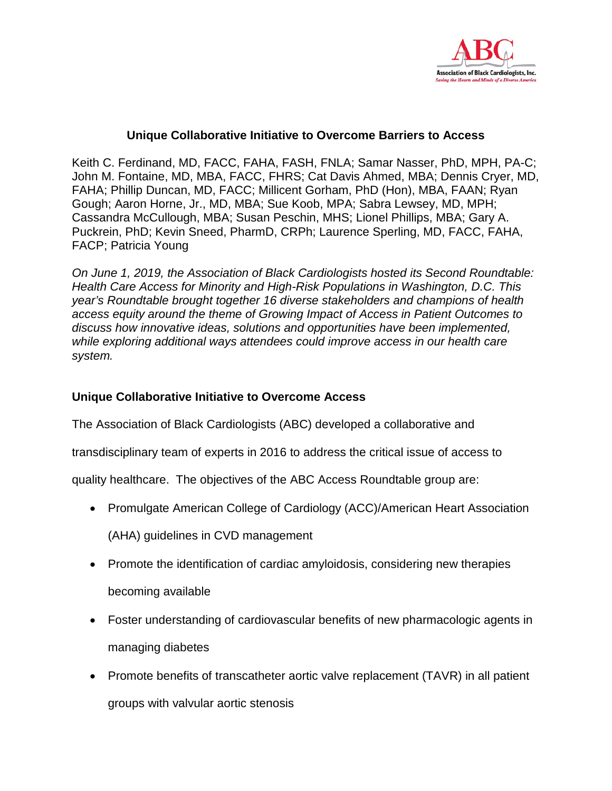

## **Unique Collaborative Initiative to Overcome Barriers to Access**

Keith C. Ferdinand, MD, FACC, FAHA, FASH, FNLA; Samar Nasser, PhD, MPH, PA-C; John M. Fontaine, MD, MBA, FACC, FHRS; Cat Davis Ahmed, MBA; Dennis Cryer, MD, FAHA; Phillip Duncan, MD, FACC; Millicent Gorham, PhD (Hon), MBA, FAAN; Ryan Gough; Aaron Horne, Jr., MD, MBA; Sue Koob, MPA; Sabra Lewsey, MD, MPH; Cassandra McCullough, MBA; Susan Peschin, MHS; Lionel Phillips, MBA; Gary A. Puckrein, PhD; Kevin Sneed, PharmD, CRPh; Laurence Sperling, MD, FACC, FAHA, FACP; Patricia Young

*On June 1, 2019, the Association of Black Cardiologists hosted its Second Roundtable: Health Care Access for Minority and High-Risk Populations in Washington, D.C. This year's Roundtable brought together 16 diverse stakeholders and champions of health access equity around the theme of Growing Impact of Access in Patient Outcomes to discuss how innovative ideas, solutions and opportunities have been implemented, while exploring additional ways attendees could improve access in our health care system.* 

## **Unique Collaborative Initiative to Overcome Access**

The Association of Black Cardiologists (ABC) developed a collaborative and

transdisciplinary team of experts in 2016 to address the critical issue of access to

quality healthcare. The objectives of the ABC Access Roundtable group are:

- Promulgate American College of Cardiology (ACC)/American Heart Association (AHA) guidelines in CVD management
- Promote the identification of cardiac amyloidosis, considering new therapies becoming available
- Foster understanding of cardiovascular benefits of new pharmacologic agents in managing diabetes
- Promote benefits of transcatheter aortic valve replacement (TAVR) in all patient groups with valvular aortic stenosis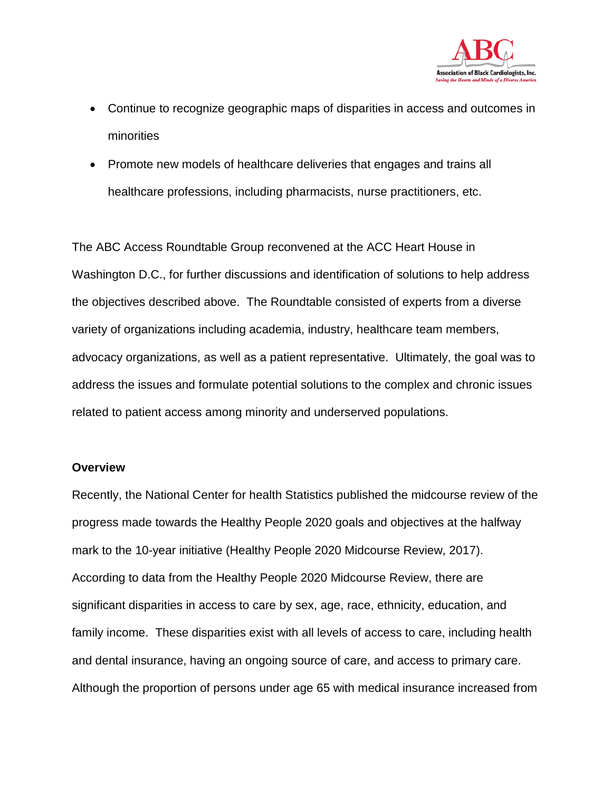

- Continue to recognize geographic maps of disparities in access and outcomes in minorities
- Promote new models of healthcare deliveries that engages and trains all healthcare professions, including pharmacists, nurse practitioners, etc.

The ABC Access Roundtable Group reconvened at the ACC Heart House in Washington D.C., for further discussions and identification of solutions to help address the objectives described above. The Roundtable consisted of experts from a diverse variety of organizations including academia, industry, healthcare team members, advocacy organizations, as well as a patient representative. Ultimately, the goal was to address the issues and formulate potential solutions to the complex and chronic issues related to patient access among minority and underserved populations.

#### **Overview**

Recently, the National Center for health Statistics published the midcourse review of the progress made towards the Healthy People 2020 goals and objectives at the halfway mark to the 10-year initiative (Healthy People 2020 Midcourse Review, 2017). According to data from the Healthy People 2020 Midcourse Review, there are significant disparities in access to care by sex, age, race, ethnicity, education, and family income. These disparities exist with all levels of access to care, including health and dental insurance, having an ongoing source of care, and access to primary care. Although the proportion of persons under age 65 with medical insurance increased from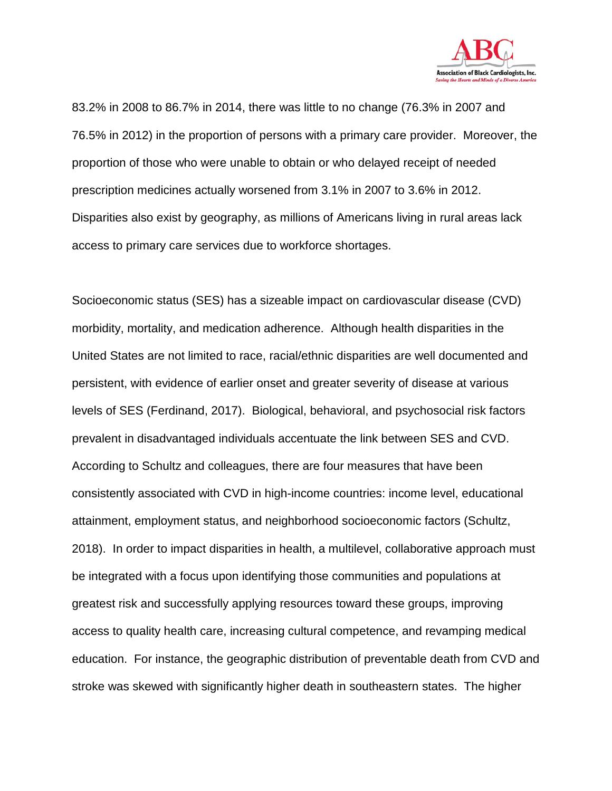

83.2% in 2008 to 86.7% in 2014, there was little to no change (76.3% in 2007 and 76.5% in 2012) in the proportion of persons with a primary care provider. Moreover, the proportion of those who were unable to obtain or who delayed receipt of needed prescription medicines actually worsened from 3.1% in 2007 to 3.6% in 2012. Disparities also exist by geography, as millions of Americans living in rural areas lack access to primary care services due to workforce shortages.

Socioeconomic status (SES) has a sizeable impact on cardiovascular disease (CVD) morbidity, mortality, and medication adherence. Although health disparities in the United States are not limited to race, racial/ethnic disparities are well documented and persistent, with evidence of earlier onset and greater severity of disease at various levels of SES (Ferdinand, 2017). Biological, behavioral, and psychosocial risk factors prevalent in disadvantaged individuals accentuate the link between SES and CVD. According to Schultz and colleagues, there are four measures that have been consistently associated with CVD in high-income countries: income level, educational attainment, employment status, and neighborhood socioeconomic factors (Schultz, 2018). In order to impact disparities in health, a multilevel, collaborative approach must be integrated with a focus upon identifying those communities and populations at greatest risk and successfully applying resources toward these groups, improving access to quality health care, increasing cultural competence, and revamping medical education. For instance, the geographic distribution of preventable death from CVD and stroke was skewed with significantly higher death in southeastern states. The higher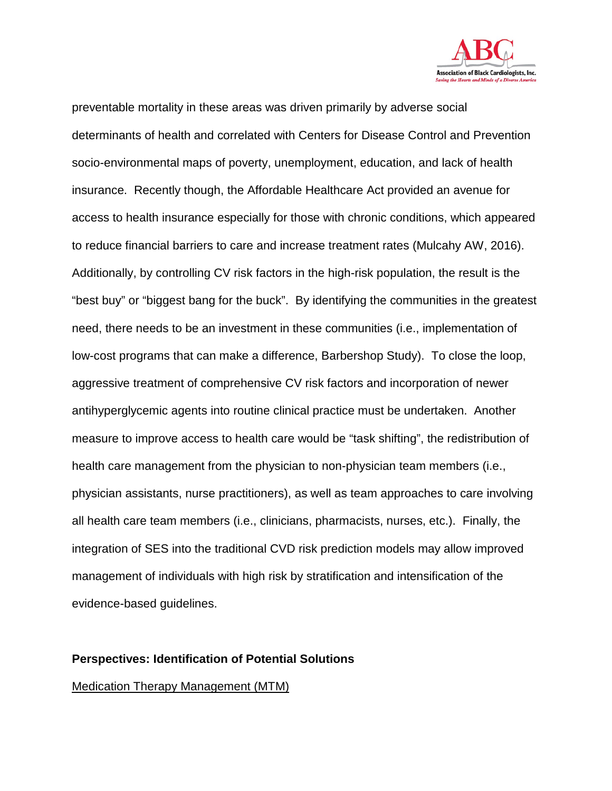

preventable mortality in these areas was driven primarily by adverse social determinants of health and correlated with Centers for Disease Control and Prevention socio-environmental maps of poverty, unemployment, education, and lack of health insurance. Recently though, the Affordable Healthcare Act provided an avenue for access to health insurance especially for those with chronic conditions, which appeared to reduce financial barriers to care and increase treatment rates (Mulcahy AW, 2016). Additionally, by controlling CV risk factors in the high-risk population, the result is the "best buy" or "biggest bang for the buck". By identifying the communities in the greatest need, there needs to be an investment in these communities (i.e., implementation of low-cost programs that can make a difference, Barbershop Study). To close the loop, aggressive treatment of comprehensive CV risk factors and incorporation of newer antihyperglycemic agents into routine clinical practice must be undertaken. Another measure to improve access to health care would be "task shifting", the redistribution of health care management from the physician to non-physician team members (i.e., physician assistants, nurse practitioners), as well as team approaches to care involving all health care team members (i.e., clinicians, pharmacists, nurses, etc.). Finally, the integration of SES into the traditional CVD risk prediction models may allow improved management of individuals with high risk by stratification and intensification of the evidence-based guidelines.

### **Perspectives: Identification of Potential Solutions**

### Medication Therapy Management (MTM)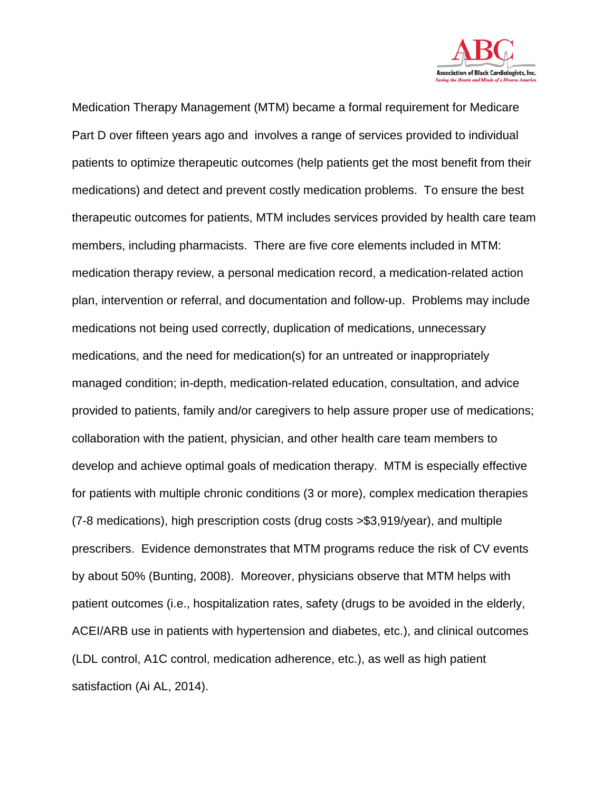

Medication Therapy Management (MTM) became a formal requirement for Medicare Part D over fifteen years ago and involves a range of services provided to individual patients to optimize therapeutic outcomes (help patients get the most benefit from their medications) and detect and prevent costly medication problems. To ensure the best therapeutic outcomes for patients, MTM includes services provided by health care team members, including pharmacists. There are five core elements included in MTM: medication therapy review, a personal medication record, a medication-related action plan, intervention or referral, and documentation and follow-up. Problems may include medications not being used correctly, duplication of medications, unnecessary medications, and the need for medication(s) for an untreated or inappropriately managed condition; in-depth, medication-related education, consultation, and advice provided to patients, family and/or caregivers to help assure proper use of medications; collaboration with the patient, physician, and other health care team members to develop and achieve optimal goals of medication therapy. MTM is especially effective for patients with multiple chronic conditions (3 or more), complex medication therapies (7-8 medications), high prescription costs (drug costs >\$3,919/year), and multiple prescribers. Evidence demonstrates that MTM programs reduce the risk of CV events by about 50% (Bunting, 2008). Moreover, physicians observe that MTM helps with patient outcomes (i.e., hospitalization rates, safety (drugs to be avoided in the elderly, ACEI/ARB use in patients with hypertension and diabetes, etc.), and clinical outcomes (LDL control, A1C control, medication adherence, etc.), as well as high patient satisfaction (Ai AL, 2014).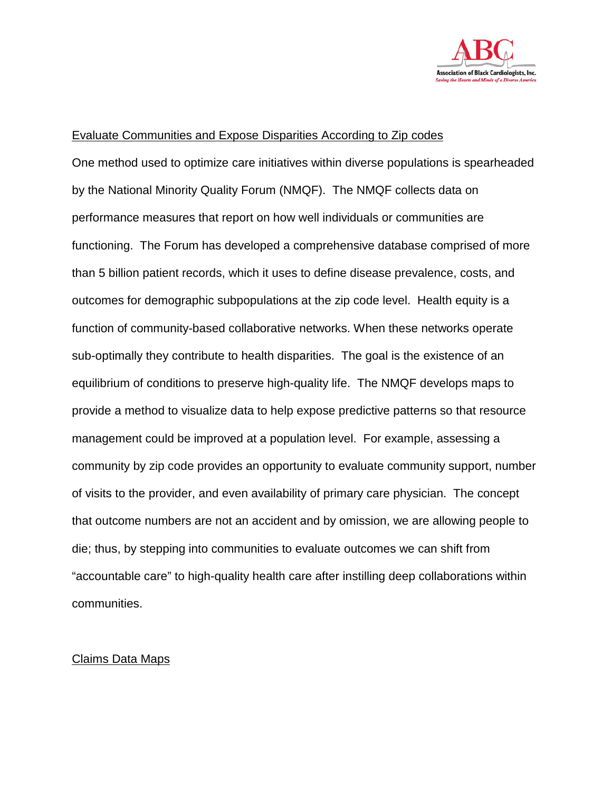

#### Evaluate Communities and Expose Disparities According to Zip codes

One method used to optimize care initiatives within diverse populations is spearheaded by the National Minority Quality Forum (NMQF). The NMQF collects data on performance measures that report on how well individuals or communities are functioning. The Forum has developed a comprehensive database comprised of more than 5 billion patient records, which it uses to define disease prevalence, costs, and outcomes for demographic subpopulations at the zip code level. Health equity is a function of community-based collaborative networks. When these networks operate sub-optimally they contribute to health disparities. The goal is the existence of an equilibrium of conditions to preserve high-quality life. The NMQF develops maps to provide a method to visualize data to help expose predictive patterns so that resource management could be improved at a population level. For example, assessing a community by zip code provides an opportunity to evaluate community support, number of visits to the provider, and even availability of primary care physician. The concept that outcome numbers are not an accident and by omission, we are allowing people to die; thus, by stepping into communities to evaluate outcomes we can shift from "accountable care" to high-quality health care after instilling deep collaborations within communities.

#### Claims Data Maps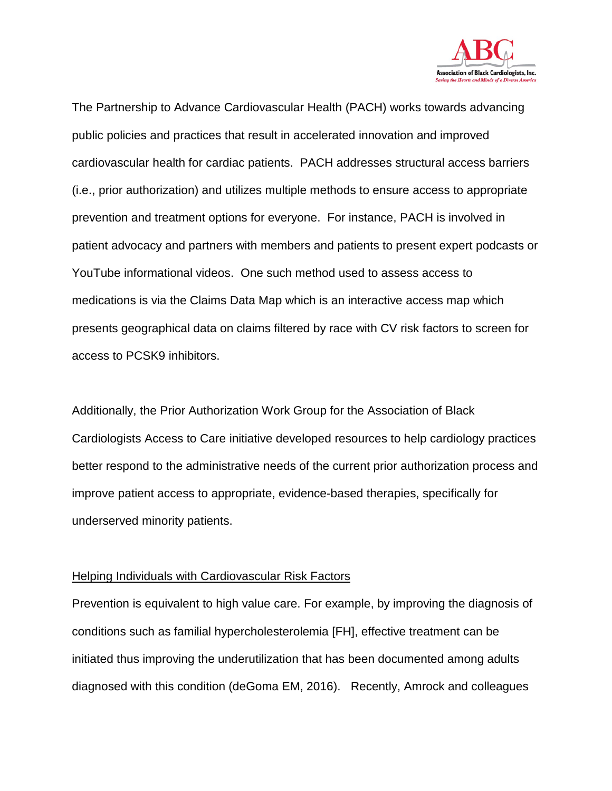

The Partnership to Advance Cardiovascular Health (PACH) works towards advancing public policies and practices that result in accelerated innovation and improved cardiovascular health for cardiac patients. PACH addresses structural access barriers (i.e., prior authorization) and utilizes multiple methods to ensure access to appropriate prevention and treatment options for everyone. For instance, PACH is involved in patient advocacy and partners with members and patients to present expert podcasts or YouTube informational videos. One such method used to assess access to medications is via the Claims Data Map which is an interactive access map which presents geographical data on claims filtered by race with CV risk factors to screen for access to PCSK9 inhibitors.

Additionally, the Prior Authorization Work Group for the Association of Black Cardiologists Access to Care initiative developed resources to help cardiology practices better respond to the administrative needs of the current prior authorization process and improve patient access to appropriate, evidence-based therapies, specifically for underserved minority patients.

#### Helping Individuals with Cardiovascular Risk Factors

Prevention is equivalent to high value care. For example, by improving the diagnosis of conditions such as familial hypercholesterolemia [FH], effective treatment can be initiated thus improving the underutilization that has been documented among adults diagnosed with this condition (deGoma EM, 2016). Recently, Amrock and colleagues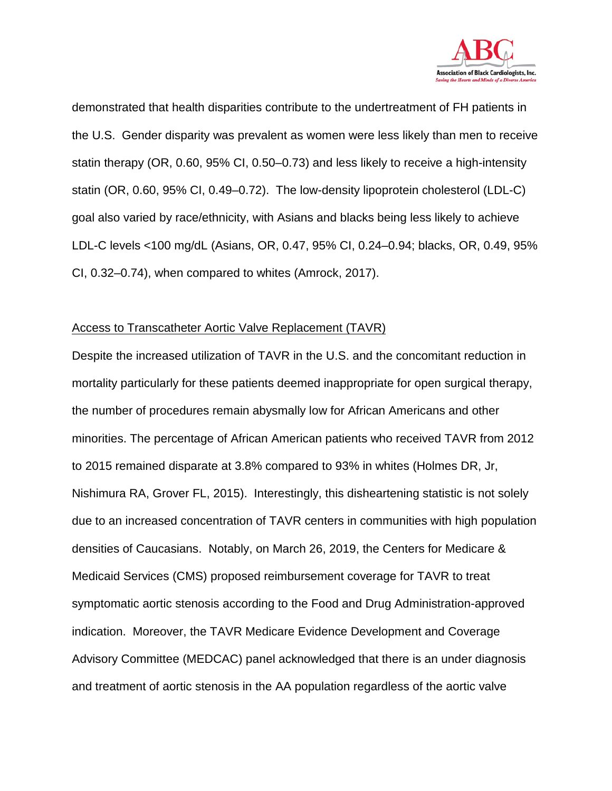

demonstrated that health disparities contribute to the undertreatment of FH patients in the U.S. Gender disparity was prevalent as women were less likely than men to receive statin therapy (OR, 0.60, 95% CI, 0.50–0.73) and less likely to receive a high-intensity statin (OR, 0.60, 95% CI, 0.49–0.72). The low-density lipoprotein cholesterol (LDL-C) goal also varied by race/ethnicity, with Asians and blacks being less likely to achieve LDL-C levels <100 mg/dL (Asians, OR, 0.47, 95% CI, 0.24–0.94; blacks, OR, 0.49, 95% CI, 0.32–0.74), when compared to whites (Amrock, 2017).

### Access to Transcatheter Aortic Valve Replacement (TAVR)

Despite the increased utilization of TAVR in the U.S. and the concomitant reduction in mortality particularly for these patients deemed inappropriate for open surgical therapy, the number of procedures remain abysmally low for African Americans and other minorities. The percentage of African American patients who received TAVR from 2012 to 2015 remained disparate at 3.8% compared to 93% in whites (Holmes DR, Jr, Nishimura RA, Grover FL, 2015). Interestingly, this disheartening statistic is not solely due to an increased concentration of TAVR centers in communities with high population densities of Caucasians. Notably, on March 26, 2019, the Centers for Medicare & Medicaid Services (CMS) proposed reimbursement coverage for TAVR to treat symptomatic aortic stenosis according to the Food and Drug Administration-approved indication. Moreover, the TAVR Medicare Evidence Development and Coverage Advisory Committee (MEDCAC) panel acknowledged that there is an under diagnosis and treatment of aortic stenosis in the AA population regardless of the aortic valve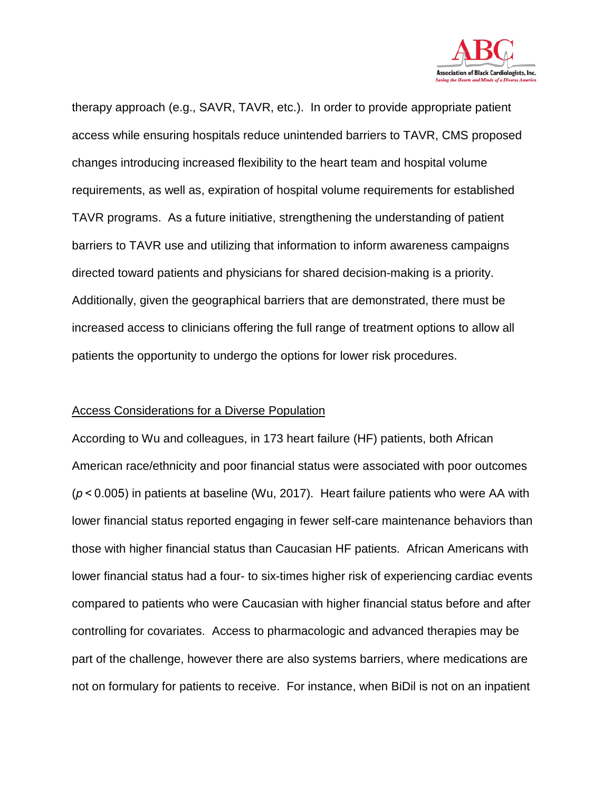

therapy approach (e.g., SAVR, TAVR, etc.). In order to provide appropriate patient access while ensuring hospitals reduce unintended barriers to TAVR, CMS proposed changes introducing increased flexibility to the heart team and hospital volume requirements, as well as, expiration of hospital volume requirements for established TAVR programs. As a future initiative, strengthening the understanding of patient barriers to TAVR use and utilizing that information to inform awareness campaigns directed toward patients and physicians for shared decision-making is a priority. Additionally, given the geographical barriers that are demonstrated, there must be increased access to clinicians offering the full range of treatment options to allow all patients the opportunity to undergo the options for lower risk procedures.

#### Access Considerations for a Diverse Population

According to Wu and colleagues, in 173 heart failure (HF) patients, both African American race/ethnicity and poor financial status were associated with poor outcomes (*p*< 0.005) in patients at baseline (Wu, 2017). Heart failure patients who were AA with lower financial status reported engaging in fewer self-care maintenance behaviors than those with higher financial status than Caucasian HF patients. African Americans with lower financial status had a four- to six-times higher risk of experiencing cardiac events compared to patients who were Caucasian with higher financial status before and after controlling for covariates. Access to pharmacologic and advanced therapies may be part of the challenge, however there are also systems barriers, where medications are not on formulary for patients to receive. For instance, when BiDil is not on an inpatient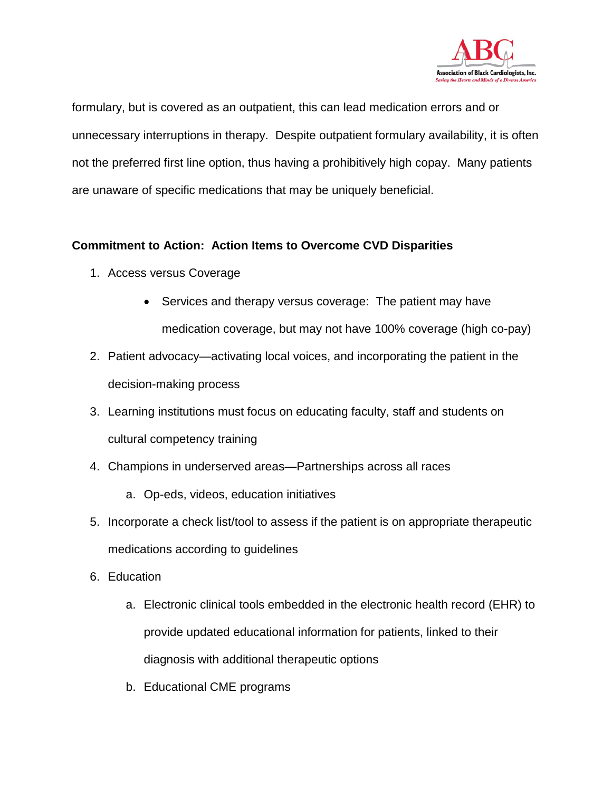

formulary, but is covered as an outpatient, this can lead medication errors and or unnecessary interruptions in therapy. Despite outpatient formulary availability, it is often not the preferred first line option, thus having a prohibitively high copay. Many patients are unaware of specific medications that may be uniquely beneficial.

# **Commitment to Action: Action Items to Overcome CVD Disparities**

- 1. Access versus Coverage
	- Services and therapy versus coverage: The patient may have medication coverage, but may not have 100% coverage (high co-pay)
- 2. Patient advocacy—activating local voices, and incorporating the patient in the decision-making process
- 3. Learning institutions must focus on educating faculty, staff and students on cultural competency training
- 4. Champions in underserved areas—Partnerships across all races
	- a. Op-eds, videos, education initiatives
- 5. Incorporate a check list/tool to assess if the patient is on appropriate therapeutic medications according to guidelines
- 6. Education
	- a. Electronic clinical tools embedded in the electronic health record (EHR) to provide updated educational information for patients, linked to their diagnosis with additional therapeutic options
	- b. Educational CME programs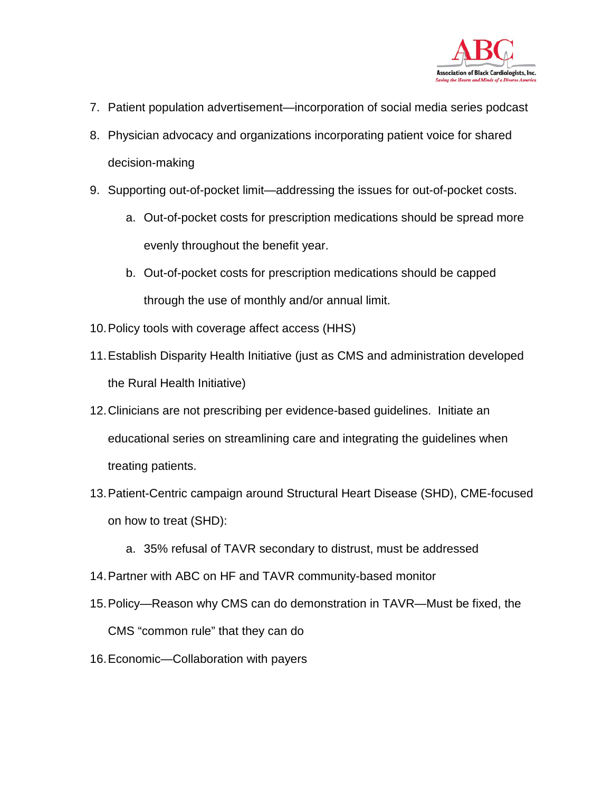

- 7. Patient population advertisement—incorporation of social media series podcast
- 8. Physician advocacy and organizations incorporating patient voice for shared decision-making
- 9. Supporting out-of-pocket limit—addressing the issues for out-of-pocket costs.
	- a. Out-of-pocket costs for prescription medications should be spread more evenly throughout the benefit year.
	- b. Out-of-pocket costs for prescription medications should be capped through the use of monthly and/or annual limit.
- 10.Policy tools with coverage affect access (HHS)
- 11.Establish Disparity Health Initiative (just as CMS and administration developed the Rural Health Initiative)
- 12.Clinicians are not prescribing per evidence-based guidelines. Initiate an educational series on streamlining care and integrating the guidelines when treating patients.
- 13.Patient-Centric campaign around Structural Heart Disease (SHD), CME-focused on how to treat (SHD):
	- a. 35% refusal of TAVR secondary to distrust, must be addressed
- 14.Partner with ABC on HF and TAVR community-based monitor
- 15.Policy—Reason why CMS can do demonstration in TAVR—Must be fixed, the CMS "common rule" that they can do
- 16.Economic—Collaboration with payers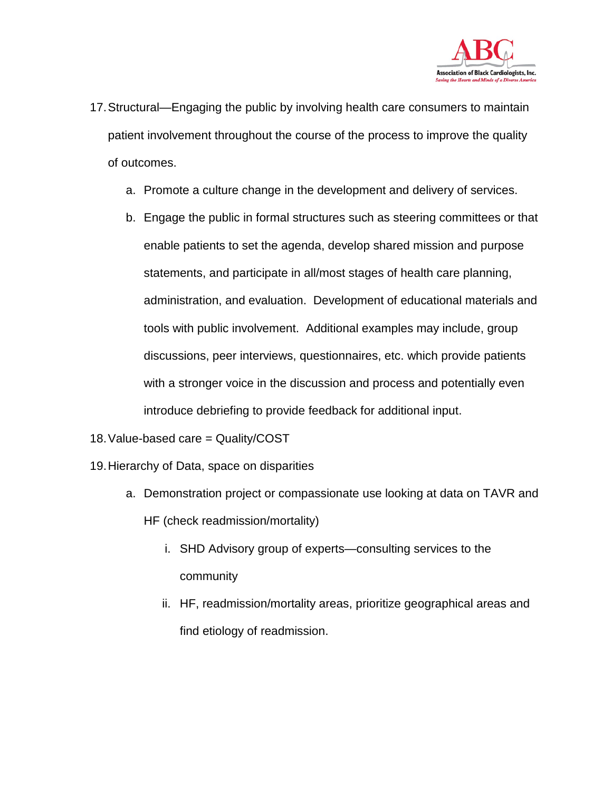

- 17.Structural—Engaging the public by involving health care consumers to maintain patient involvement throughout the course of the process to improve the quality of outcomes.
	- a. Promote a culture change in the development and delivery of services.
	- b. Engage the public in formal structures such as steering committees or that enable patients to set the agenda, develop shared mission and purpose statements, and participate in all/most stages of health care planning, administration, and evaluation. Development of educational materials and tools with public involvement. Additional examples may include, group discussions, peer interviews, questionnaires, etc. which provide patients with a stronger voice in the discussion and process and potentially even introduce debriefing to provide feedback for additional input.
- 18.Value-based care = Quality/COST
- 19.Hierarchy of Data, space on disparities
	- a. Demonstration project or compassionate use looking at data on TAVR and HF (check readmission/mortality)
		- i. SHD Advisory group of experts—consulting services to the community
		- ii. HF, readmission/mortality areas, prioritize geographical areas and find etiology of readmission.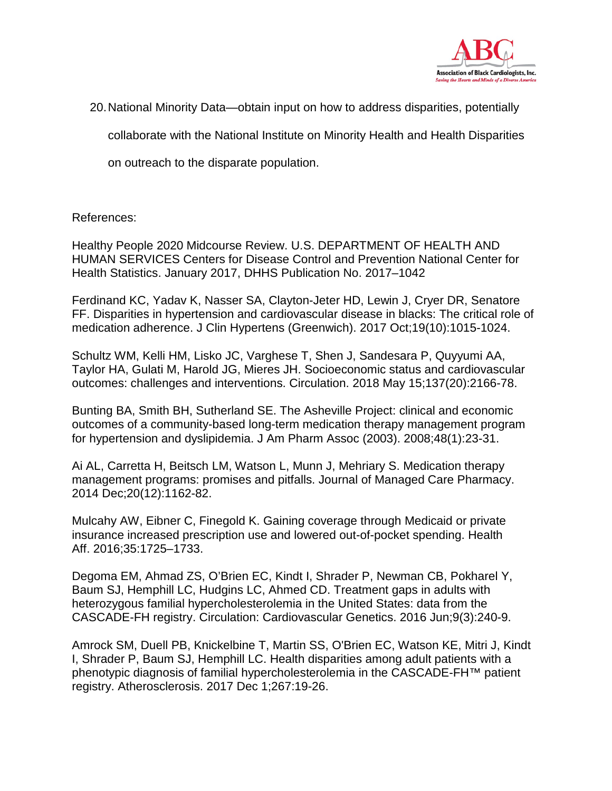

20.National Minority Data—obtain input on how to address disparities, potentially

collaborate with the National Institute on Minority Health and Health Disparities

on outreach to the disparate population.

References:

Healthy People 2020 Midcourse Review. U.S. DEPARTMENT OF HEALTH AND HUMAN SERVICES Centers for Disease Control and Prevention National Center for Health Statistics. January 2017, DHHS Publication No. 2017–1042

Ferdinand KC, Yadav K, Nasser SA, Clayton-Jeter HD, Lewin J, Cryer DR, Senatore FF. Disparities in hypertension and cardiovascular disease in blacks: The critical role of medication adherence. J Clin Hypertens (Greenwich). 2017 Oct;19(10):1015-1024.

Schultz WM, Kelli HM, Lisko JC, Varghese T, Shen J, Sandesara P, Quyyumi AA, Taylor HA, Gulati M, Harold JG, Mieres JH. Socioeconomic status and cardiovascular outcomes: challenges and interventions. Circulation. 2018 May 15;137(20):2166-78.

Bunting BA, Smith BH, Sutherland SE. The Asheville Project: clinical and economic outcomes of a community-based long-term medication therapy management program for hypertension and dyslipidemia. J Am Pharm Assoc (2003). 2008;48(1):23-31.

Ai AL, Carretta H, Beitsch LM, Watson L, Munn J, Mehriary S. Medication therapy management programs: promises and pitfalls. Journal of Managed Care Pharmacy. 2014 Dec;20(12):1162-82.

Mulcahy AW, Eibner C, Finegold K. Gaining coverage through Medicaid or private insurance increased prescription use and lowered out-of-pocket spending. Health Aff. 2016;35:1725–1733.

Degoma EM, Ahmad ZS, O'Brien EC, Kindt I, Shrader P, Newman CB, Pokharel Y, Baum SJ, Hemphill LC, Hudgins LC, Ahmed CD. Treatment gaps in adults with heterozygous familial hypercholesterolemia in the United States: data from the CASCADE-FH registry. Circulation: Cardiovascular Genetics. 2016 Jun;9(3):240-9.

Amrock SM, Duell PB, Knickelbine T, Martin SS, O'Brien EC, Watson KE, Mitri J, Kindt I, Shrader P, Baum SJ, Hemphill LC. Health disparities among adult patients with a phenotypic diagnosis of familial hypercholesterolemia in the CASCADE-FH™ patient registry. Atherosclerosis. 2017 Dec 1;267:19-26.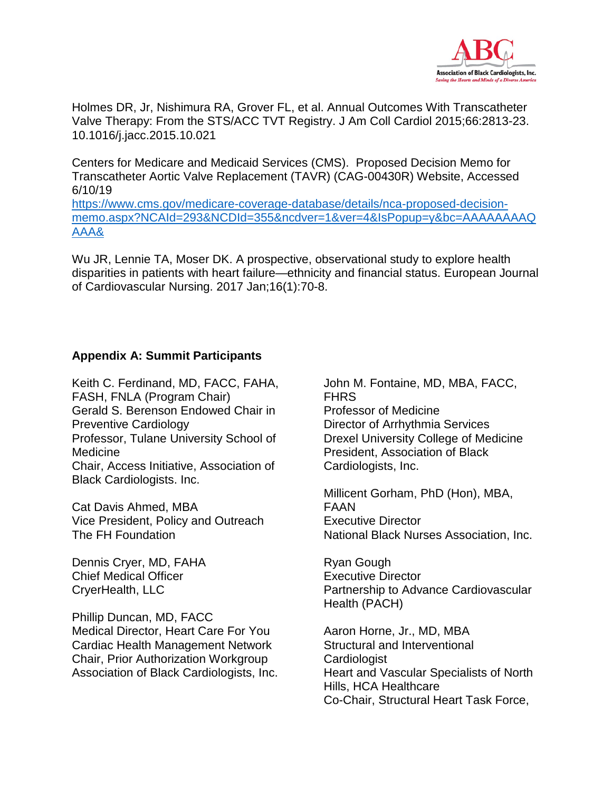

Holmes DR, Jr, Nishimura RA, Grover FL, et al. Annual Outcomes With Transcatheter Valve Therapy: From the STS/ACC TVT Registry. J Am Coll Cardiol 2015;66:2813-23. 10.1016/j.jacc.2015.10.021

Centers for Medicare and Medicaid Services (CMS). Proposed Decision Memo for Transcatheter Aortic Valve Replacement (TAVR) (CAG-00430R) Website, Accessed 6/10/19 [https://www.cms.gov/medicare-coverage-database/details/nca-proposed-decision-](https://www.cms.gov/medicare-coverage-database/details/nca-proposed-decision-memo.aspx?NCAId=293&NCDId=355&ncdver=1&ver=4&IsPopup=y&bc=AAAAAAAAQAAA&)

[memo.aspx?NCAId=293&NCDId=355&ncdver=1&ver=4&IsPopup=y&bc=AAAAAAAAQ](https://www.cms.gov/medicare-coverage-database/details/nca-proposed-decision-memo.aspx?NCAId=293&NCDId=355&ncdver=1&ver=4&IsPopup=y&bc=AAAAAAAAQAAA&) [AAA&](https://www.cms.gov/medicare-coverage-database/details/nca-proposed-decision-memo.aspx?NCAId=293&NCDId=355&ncdver=1&ver=4&IsPopup=y&bc=AAAAAAAAQAAA&)

Wu JR, Lennie TA, Moser DK. A prospective, observational study to explore health disparities in patients with heart failure—ethnicity and financial status. European Journal of Cardiovascular Nursing. 2017 Jan;16(1):70-8.

### **Appendix A: Summit Participants**

Keith C. Ferdinand, MD, FACC, FAHA, FASH, FNLA (Program Chair) Gerald S. Berenson Endowed Chair in Preventive Cardiology Professor, Tulane University School of Medicine Chair, Access Initiative, Association of Black Cardiologists. Inc.

Cat Davis Ahmed, MBA Vice President, Policy and Outreach The FH Foundation

Dennis Cryer, MD, FAHA Chief Medical Officer CryerHealth, LLC

Phillip Duncan, MD, FACC Medical Director, Heart Care For You Cardiac Health Management Network Chair, Prior Authorization Workgroup Association of Black Cardiologists, Inc. John M. Fontaine, MD, MBA, FACC, FHRS Professor of Medicine Director of Arrhythmia Services Drexel University College of Medicine President, Association of Black Cardiologists, Inc.

Millicent Gorham, PhD (Hon), MBA, FAAN Executive Director National Black Nurses Association, Inc.

Ryan Gough Executive Director Partnership to Advance Cardiovascular Health (PACH)

Aaron Horne, Jr., MD, MBA Structural and Interventional **Cardiologist** Heart and Vascular Specialists of North Hills, HCA Healthcare Co-Chair, Structural Heart Task Force,